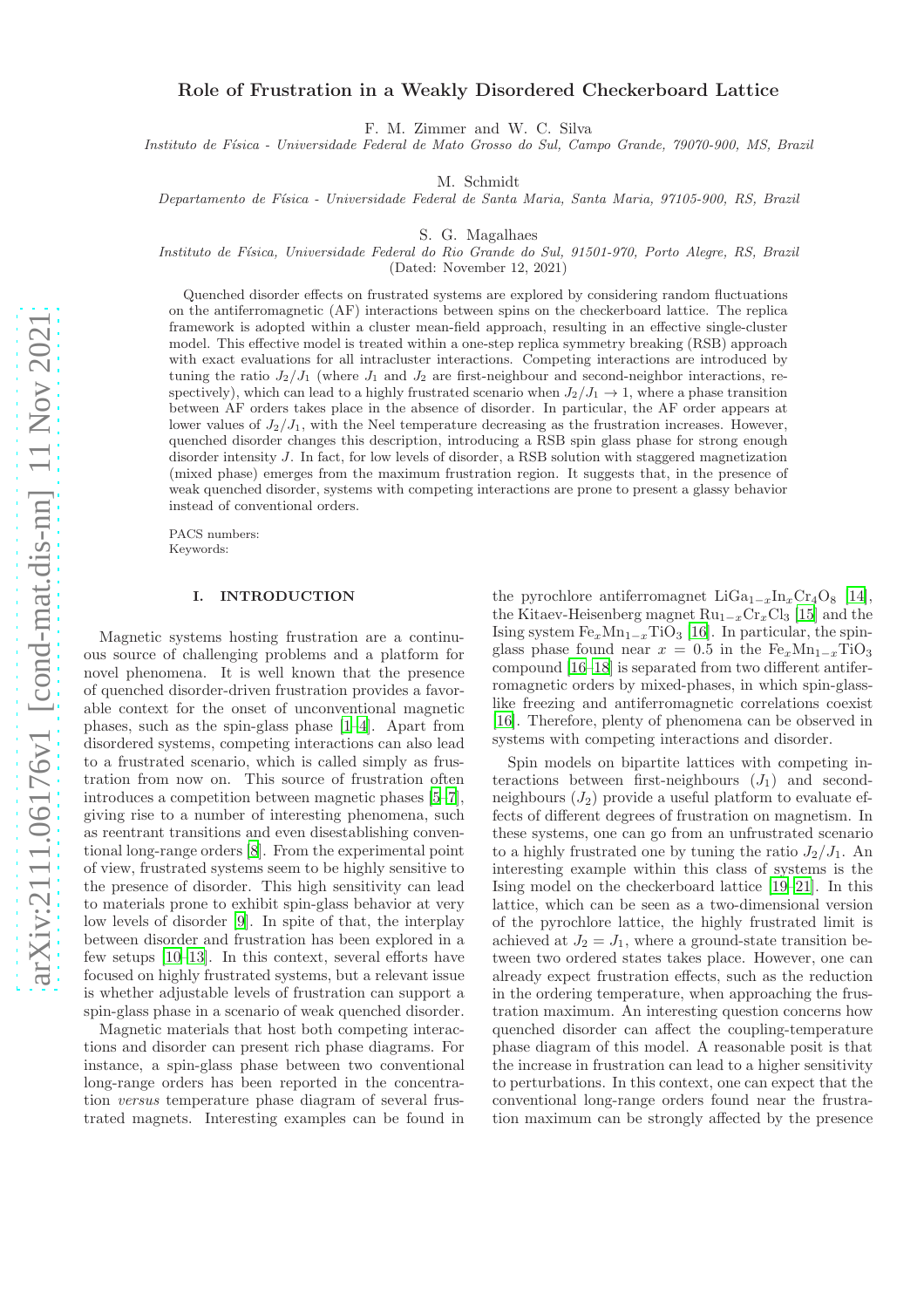# Role of Frustration in a Weakly Disordered Checkerboard Lattice

F. M. Zimmer and W. C. Silva

Instituto de Física - Universidade Federal de Mato Grosso do Sul, Campo Grande, 79070-900, MS, Brazil

M. Schmidt

Departamento de F´ısica - Universidade Federal de Santa Maria, Santa Maria, 97105-900, RS, Brazil

S. G. Magalhaes

Instituto de F´ısica, Universidade Federal do Rio Grande do Sul, 91501-970, Porto Alegre, RS, Brazil

(Dated: November 12, 2021)

Quenched disorder effects on frustrated systems are explored by considering random fluctuations on the antiferromagnetic (AF) interactions between spins on the checkerboard lattice. The replica framework is adopted within a cluster mean-field approach, resulting in an effective single-cluster model. This effective model is treated within a one-step replica symmetry breaking (RSB) approach with exact evaluations for all intracluster interactions. Competing interactions are introduced by tuning the ratio  $J_2/J_1$  (where  $J_1$  and  $J_2$  are first-neighbour and second-neighbor interactions, respectively), which can lead to a highly frustrated scenario when  $J_2/J_1 \rightarrow 1$ , where a phase transition between AF orders takes place in the absence of disorder. In particular, the AF order appears at lower values of  $J_2/J_1$ , with the Neel temperature decreasing as the frustration increases. However, quenched disorder changes this description, introducing a RSB spin glass phase for strong enough disorder intensity J. In fact, for low levels of disorder, a RSB solution with staggered magnetization (mixed phase) emerges from the maximum frustration region. It suggests that, in the presence of weak quenched disorder, systems with competing interactions are prone to present a glassy behavior instead of conventional orders.

PACS numbers: Keywords:

### I. INTRODUCTION

Magnetic systems hosting frustration are a continuous source of challenging problems and a platform for novel phenomena. It is well known that the presence of quenched disorder-driven frustration provides a favorable context for the onset of unconventional magnetic phases, such as the spin-glass phase [1[–4](#page-6-0)]. Apart from disordered systems, competing interactions can also lead to a frustrated scenario, which is called simply as frustration from now on. This source of frustration often introduces a competition between magnetic phases [\[5](#page-6-1)[–7\]](#page-6-2), giving rise to a number of interesting phenomena, such as reentrant transitions and even disestablishing conventional long-range orders [\[8](#page-6-3)]. From the experimental point of view, frustrated systems seem to be highly sensitive to the presence of disorder. This high sensitivity can lead to materials prone to exhibit spin-glass behavior at very low levels of disorder [\[9\]](#page-6-4). In spite of that, the interplay between disorder and frustration has been explored in a few setups [\[10](#page-6-5)[–13\]](#page-6-6). In this context, several efforts have focused on highly frustrated systems, but a relevant issue is whether adjustable levels of frustration can support a spin-glass phase in a scenario of weak quenched disorder.

Magnetic materials that host both competing interactions and disorder can present rich phase diagrams. For instance, a spin-glass phase between two conventional long-range orders has been reported in the concentration versus temperature phase diagram of several frustrated magnets. Interesting examples can be found in

the pyrochlore antiferromagnet LiGa<sub>1−x</sub>In<sub>x</sub>Cr<sub>4</sub>O<sub>8</sub> [14], the Kitaev-Heisenberg magnet  $Ru_{1-x}Cr_xCl_3$  [\[15](#page-6-7)] and the Ising system  $Fe_xMn_{1-x}TiO_3$  [16]. In particular, the spinglass phase found near  $x = 0.5$  in the Fe<sub>x</sub>Mn<sub>1-x</sub>TiO<sub>3</sub> compound [16[–18\]](#page-6-8) is separated from two different antiferromagnetic orders by mixed-phases, in which spin-glasslike freezing and antiferromagnetic correlations coexist [16]. Therefore, plenty of phenomena can be observed in systems with competing interactions and disorder.

Spin models on bipartite lattices with competing interactions between first-neighbours  $(J_1)$  and secondneighbours  $(J_2)$  provide a useful platform to evaluate effects of different degrees of frustration on magnetism. In these systems, one can go from an unfrustrated scenario to a highly frustrated one by tuning the ratio  $J_2/J_1$ . An interesting example within this class of systems is the Ising model on the checkerboard lattice [\[19](#page-6-9)[–21](#page-6-10)]. In this lattice, which can be seen as a two-dimensional version of the pyrochlore lattice, the highly frustrated limit is achieved at  $J_2 = J_1$ , where a ground-state transition between two ordered states takes place. However, one can already expect frustration effects, such as the reduction in the ordering temperature, when approaching the frustration maximum. An interesting question concerns how quenched disorder can affect the coupling-temperature phase diagram of this model. A reasonable posit is that the increase in frustration can lead to a higher sensitivity to perturbations. In this context, one can expect that the conventional long-range orders found near the frustration maximum can be strongly affected by the presence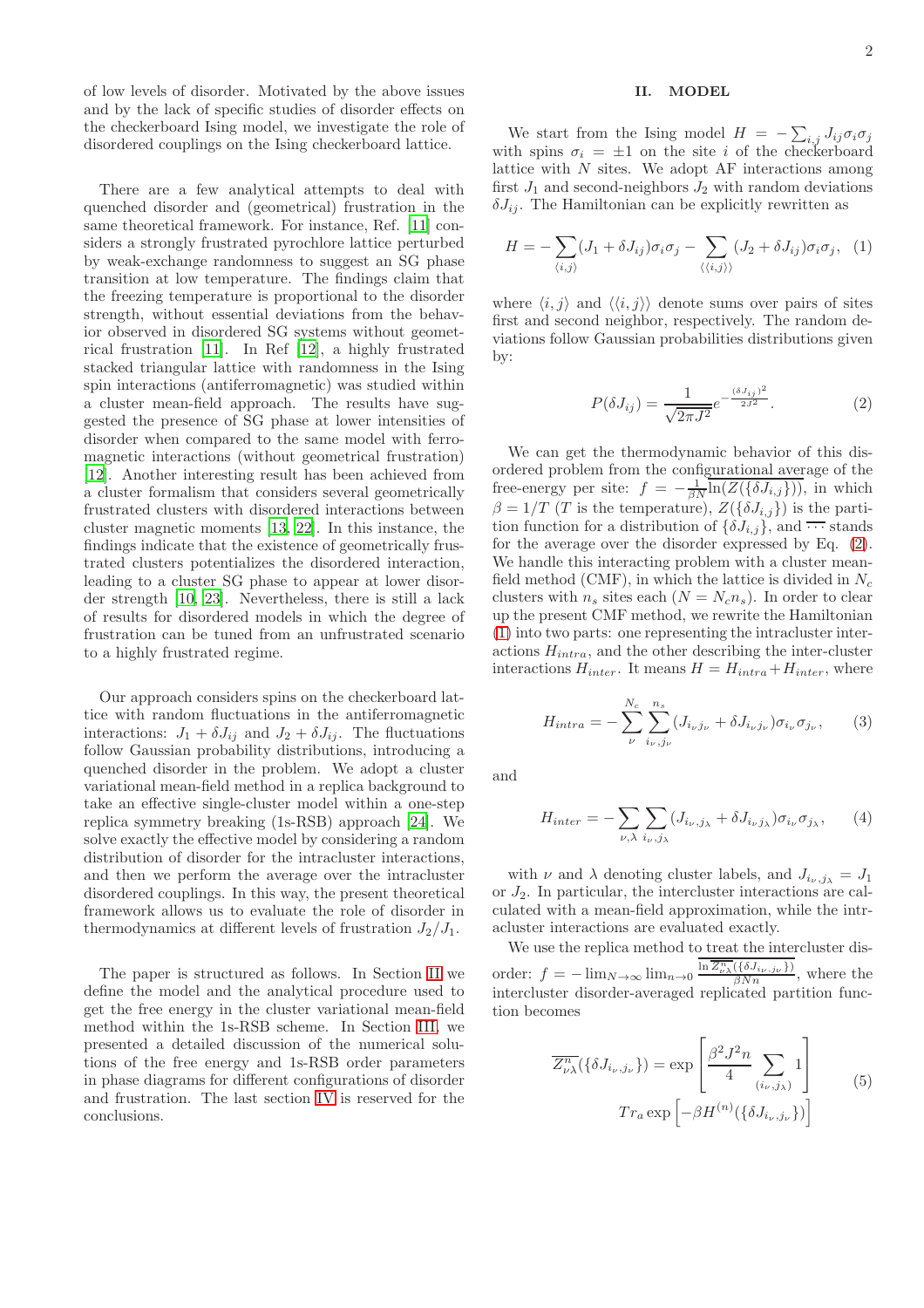of low levels of disorder. Motivated by the above issues and by the lack of specific studies of disorder effects on the checkerboard Ising model, we investigate the role of disordered couplings on the Ising checkerboard lattice.

There are a few analytical attempts to deal with quenched disorder and (geometrical) frustration in the same theoretical framework. For instance, Ref. [\[11\]](#page-6-11) considers a strongly frustrated pyrochlore lattice perturbed by weak-exchange randomness to suggest an SG phase transition at low temperature. The findings claim that the freezing temperature is proportional to the disorder strength, without essential deviations from the behavior observed in disordered SG systems without geometrical frustration [\[11\]](#page-6-11). In Ref [\[12\]](#page-6-12), a highly frustrated stacked triangular lattice with randomness in the Ising spin interactions (antiferromagnetic) was studied within a cluster mean-field approach. The results have suggested the presence of SG phase at lower intensities of disorder when compared to the same model with ferromagnetic interactions (without geometrical frustration) [\[12\]](#page-6-12). Another interesting result has been achieved from a cluster formalism that considers several geometrically frustrated clusters with disordered interactions between cluster magnetic moments [\[13,](#page-6-6) [22\]](#page-6-13). In this instance, the findings indicate that the existence of geometrically frustrated clusters potentializes the disordered interaction, leading to a cluster SG phase to appear at lower disorder strength [\[10,](#page-6-5) [23\]](#page-6-14). Nevertheless, there is still a lack of results for disordered models in which the degree of frustration can be tuned from an unfrustrated scenario to a highly frustrated regime.

Our approach considers spins on the checkerboard lattice with random fluctuations in the antiferromagnetic interactions:  $J_1 + \delta J_{ij}$  and  $J_2 + \delta J_{ij}$ . The fluctuations follow Gaussian probability distributions, introducing a quenched disorder in the problem. We adopt a cluster variational mean-field method in a replica background to take an effective single-cluster model within a one-step replica symmetry breaking (1s-RSB) approach [\[24](#page-6-15)]. We solve exactly the effective model by considering a random distribution of disorder for the intracluster interactions, and then we perform the average over the intracluster disordered couplings. In this way, the present theoretical framework allows us to evaluate the role of disorder in thermodynamics at different levels of frustration  $J_2/J_1$ .

The paper is structured as follows. In Section [II](#page-1-0) we define the model and the analytical procedure used to get the free energy in the cluster variational mean-field method within the 1s-RSB scheme. In Section [III,](#page-2-0) we presented a detailed discussion of the numerical solutions of the free energy and 1s-RSB order parameters in phase diagrams for different configurations of disorder and frustration. The last section [IV](#page-5-0) is reserved for the conclusions.

# <span id="page-1-0"></span>II. MODEL

We start from the Ising model  $H = -\sum_{i,j} J_{ij} \sigma_i \sigma_j$ with spins  $\sigma_i = \pm 1$  on the site i of the checkerboard lattice with  $N$  sites. We adopt  $AF$  interactions among first  $J_1$  and second-neighbors  $J_2$  with random deviations  $\delta J_{ij}$ . The Hamiltonian can be explicitly rewritten as

<span id="page-1-2"></span>
$$
H = -\sum_{\langle i,j \rangle} (J_1 + \delta J_{ij}) \sigma_i \sigma_j - \sum_{\langle \langle i,j \rangle \rangle} (J_2 + \delta J_{ij}) \sigma_i \sigma_j, \quad (1)
$$

where  $\langle i, j \rangle$  and  $\langle \langle i, j \rangle \rangle$  denote sums over pairs of sites first and second neighbor, respectively. The random deviations follow Gaussian probabilities distributions given by:

<span id="page-1-1"></span>
$$
P(\delta J_{ij}) = \frac{1}{\sqrt{2\pi J^2}} e^{-\frac{(\delta J_{ij})^2}{2J^2}}.
$$
 (2)

We can get the thermodynamic behavior of this disordered problem from the configurational average of the free-energy per site:  $f = -\frac{1}{\beta N} \overline{\ln(Z(\{\delta J_{i,j}\}))}$ , in which  $\beta = 1/T$  (T is the temperature),  $Z(\{\delta J_{i,j}\})$  is the partition function for a distribution of  $\{\delta J_{i,j}\}\)$ , and  $\cdots$  stands for the average over the disorder expressed by Eq. [\(2\)](#page-1-1). We handle this interacting problem with a cluster meanfield method (CMF), in which the lattice is divided in  $N_c$ clusters with  $n_s$  sites each  $(N = N_c n_s)$ . In order to clear up the present CMF method, we rewrite the Hamiltonian [\(1\)](#page-1-2) into two parts: one representing the intracluster interactions  $H_{intra}$ , and the other describing the inter-cluster interactions  $H_{inter}$ . It means  $H = H_{intra} + H_{inter}$ , where

$$
H_{intra} = -\sum_{\nu}^{N_c} \sum_{i_{\nu}, j_{\nu}}^{n_s} (J_{i_{\nu}j_{\nu}} + \delta J_{i_{\nu}j_{\nu}}) \sigma_{i_{\nu}} \sigma_{j_{\nu}}, \qquad (3)
$$

and

$$
H_{inter} = -\sum_{\nu,\lambda} \sum_{i_{\nu},j_{\lambda}} (J_{i_{\nu},j_{\lambda}} + \delta J_{i_{\nu}j_{\lambda}}) \sigma_{i_{\nu}} \sigma_{j_{\lambda}}, \qquad (4)
$$

with  $\nu$  and  $\lambda$  denoting cluster labels, and  $J_{i_{\nu},j_{\lambda}}=J_1$ or  $J_2$ . In particular, the intercluster interactions are calculated with a mean-field approximation, while the intracluster interactions are evaluated exactly.

We use the replica method to treat the intercluster disorder:  $f = -\lim_{N \to \infty} \lim_{n \to 0} \frac{\ln \overline{Z_{\nu\lambda}^n}(\{\delta J_{i\nu}, j_{\nu}\})}{\beta N n}$ , where the intercluster disorder-averaged replicated partition function becomes

$$
\overline{Z_{\nu\lambda}^n}(\{\delta J_{i_{\nu},j_{\nu}}\}) = \exp\left[\frac{\beta^2 J^2 n}{4} \sum_{(i_{\nu},j_{\lambda})} 1\right]
$$
  

$$
Tr_a \exp\left[-\beta H^{(n)}(\{\delta J_{i_{\nu},j_{\nu}}\})\right]
$$
(5)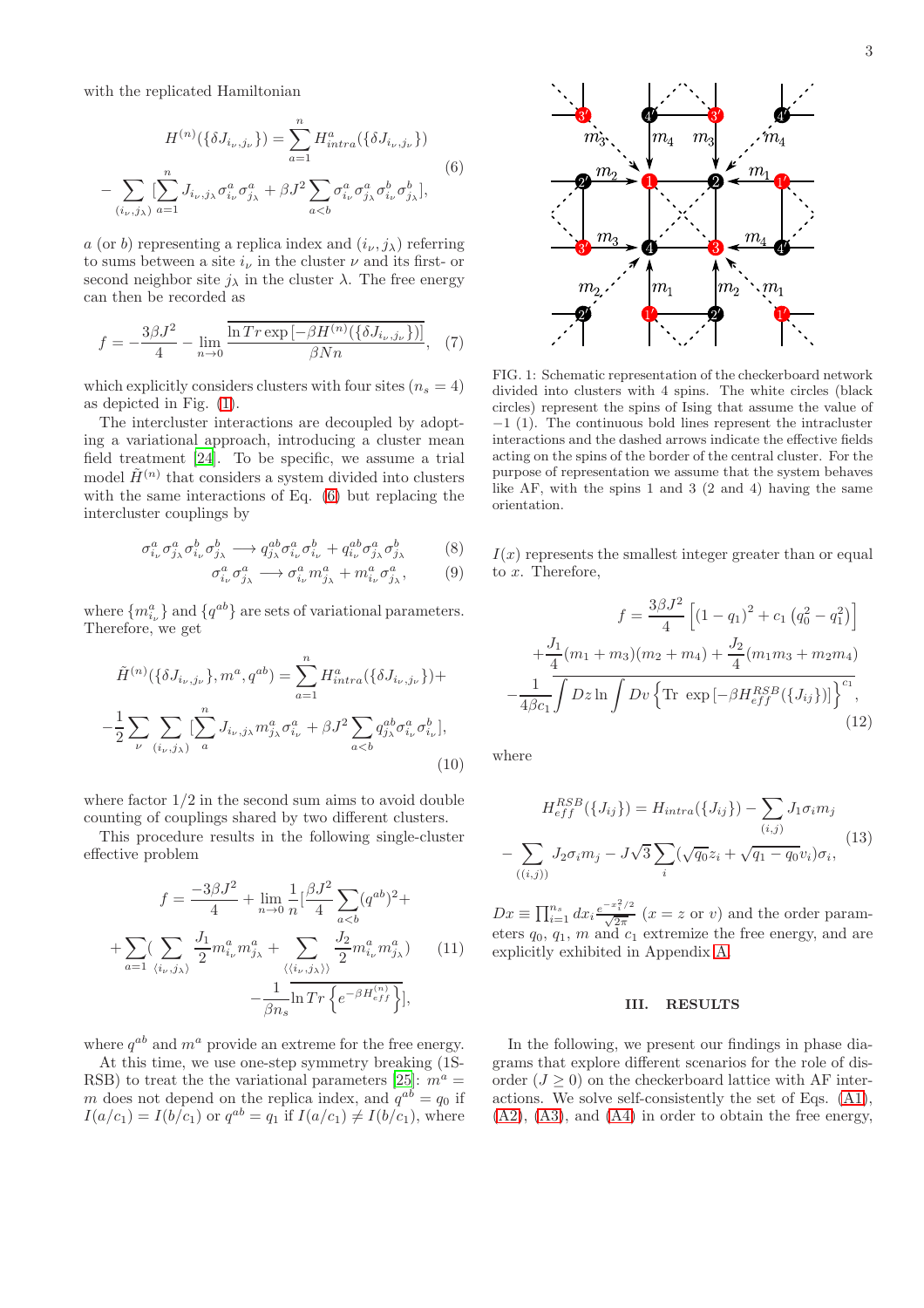with the replicated Hamiltonian

<span id="page-2-2"></span>
$$
H^{(n)}(\{\delta J_{i_{\nu},j_{\nu}}\}) = \sum_{a=1}^{n} H_{intra}^{a}(\{\delta J_{i_{\nu},j_{\nu}}\})
$$
  

$$
-\sum_{(i_{\nu},j_{\lambda})} [\sum_{a=1}^{n} J_{i_{\nu},j_{\lambda}} \sigma_{i_{\nu}}^{a} \sigma_{j_{\lambda}}^{a} + \beta J^{2} \sum_{a(6)
$$

a (or b) representing a replica index and  $(i_{\nu}, j_{\lambda})$  referring to sums between a site  $i_{\nu}$  in the cluster  $\nu$  and its first- or second neighbor site  $j_{\lambda}$  in the cluster  $\lambda$ . The free energy can then be recorded as

$$
f = -\frac{3\beta J^2}{4} - \lim_{n \to 0} \frac{\overline{\ln Tr \exp\left[-\beta H^{(n)}(\{\delta J_{i_{\nu},j_{\nu}}\})\right]}}{\beta N n}, \quad (7)
$$

which explicitly considers clusters with four sites  $(n_s = 4)$ as depicted in Fig. [\(1\)](#page-2-1).

The intercluster interactions are decoupled by adopting a variational approach, introducing a cluster mean field treatment [\[24\]](#page-6-15). To be specific, we assume a trial model  $\tilde{H}^{(n)}$  that considers a system divided into clusters with the same interactions of Eq. [\(6\)](#page-2-2) but replacing the intercluster couplings by

$$
\sigma_{i_{\nu}}^{a} \sigma_{j_{\lambda}}^{a} \sigma_{i_{\nu}}^{b} \sigma_{j_{\lambda}}^{b} \longrightarrow q_{j_{\lambda}}^{ab} \sigma_{i_{\nu}}^{a} \sigma_{i_{\nu}}^{b} + q_{i_{\nu}}^{ab} \sigma_{j_{\lambda}}^{a} \sigma_{j_{\lambda}}^{b} \tag{8}
$$

$$
\sigma_{i_{\nu}}^{a} \sigma_{j_{\lambda}}^{a} \longrightarrow \sigma_{i_{\nu}}^{a} m_{j_{\lambda}}^{a} + m_{i_{\nu}}^{a} \sigma_{j_{\lambda}}^{a}, \qquad (9)
$$

where  ${m_{i_{\nu}}^a}$  and  ${q^{ab}}$  are sets of variational parameters. Therefore, we get

$$
\tilde{H}^{(n)}(\{\delta J_{i_{\nu},j_{\nu}}\},m^a,q^{ab}) = \sum_{a=1}^n H_{intra}^a(\{\delta J_{i_{\nu},j_{\nu}}\}) + \n- \frac{1}{2} \sum_{\nu} \sum_{(i_{\nu},j_{\lambda})} \left[ \sum_a^n J_{i_{\nu},j_{\lambda}} m_{j_{\lambda}}^a \sigma_{i_{\nu}}^a + \beta J^2 \sum_{a\n(10)
$$

where factor 1/2 in the second sum aims to avoid double counting of couplings shared by two different clusters.

This procedure results in the following single-cluster effective problem

$$
f = \frac{-3\beta J^2}{4} + \lim_{n \to 0} \frac{1}{n} \left[ \frac{\beta J^2}{4} \sum_{a < b} (q^{ab})^2 + \right.
$$

$$
+ \sum_{a=1} \left( \sum_{\langle i_\nu, j_\lambda \rangle} \frac{J_1}{2} m_{i_\nu}^a m_{j_\lambda}^a + \sum_{\langle \langle i_\nu, j_\lambda \rangle \rangle} \frac{J_2}{2} m_{i_\nu}^a m_{j_\lambda}^a \right) \tag{11}
$$

$$
- \frac{1}{\beta n_s} \ln Tr \left\{ e^{-\beta H_{eff}^{(n)}} \right\},
$$

where  $q^{ab}$  and  $m^a$  provide an extreme for the free energy.

At this time, we use one-step symmetry breaking (1S-RSB) to treat the the variational parameters [\[25](#page-6-16)]:  $m^a =$ m does not depend on the replica index, and  $q^{ab} = q_0$  if  $I(a/c_1) = I(b/c_1)$  or  $q^{ab} = q_1$  if  $I(a/c_1) \neq I(b/c_1)$ , where



<span id="page-2-1"></span>FIG. 1: Schematic representation of the checkerboard network divided into clusters with 4 spins. The white circles (black circles) represent the spins of Ising that assume the value of −1 (1). The continuous bold lines represent the intracluster interactions and the dashed arrows indicate the effective fields acting on the spins of the border of the central cluster. For the purpose of representation we assume that the system behaves like AF, with the spins 1 and 3 (2 and 4) having the same orientation.

 $I(x)$  represents the smallest integer greater than or equal to  $x$ . Therefore,

<span id="page-2-3"></span>
$$
f = \frac{3\beta J^2}{4} \left[ (1 - q_1)^2 + c_1 (q_0^2 - q_1^2) \right]
$$

$$
+ \frac{J_1}{4} (m_1 + m_3)(m_2 + m_4) + \frac{J_2}{4} (m_1 m_3 + m_2 m_4)
$$

$$
- \frac{1}{4\beta c_1} \int Dz \ln \int Dv \left\{ \text{Tr} \exp \left[ -\beta H_{eff}^{RSB}(\{J_{ij}\}) \right] \right\}^{c_1}, \tag{12}
$$

where

<span id="page-2-4"></span>
$$
H_{eff}^{RSB}(\lbrace J_{ij} \rbrace) = H_{intra}(\lbrace J_{ij} \rbrace) - \sum_{(i,j)} J_1 \sigma_i m_j
$$

$$
- \sum_{((i,j))} J_2 \sigma_i m_j - J\sqrt{3} \sum_i (\sqrt{q_0} z_i + \sqrt{q_1 - q_0} v_i) \sigma_i,
$$
(13)

 $Dx \equiv \prod_{i=1}^{n_s} dx_i \frac{e^{-x_i^2/2}}{\sqrt{2\pi}}$   $(x = z \text{ or } v)$  and the order parameters  $q_0$ ,  $q_1$ ,  $m$  and  $c_1$  extremize the free energy, and are explicitly exhibited in Appendix [A.](#page-5-1)

#### <span id="page-2-0"></span>III. RESULTS

In the following, we present our findings in phase diagrams that explore different scenarios for the role of disorder  $(J > 0)$  on the checkerboard lattice with AF interactions. We solve self-consistently the set of Eqs. [\(A1\)](#page-5-2),  $(A2)$ ,  $(A3)$ , and  $(A4)$  in order to obtain the free energy,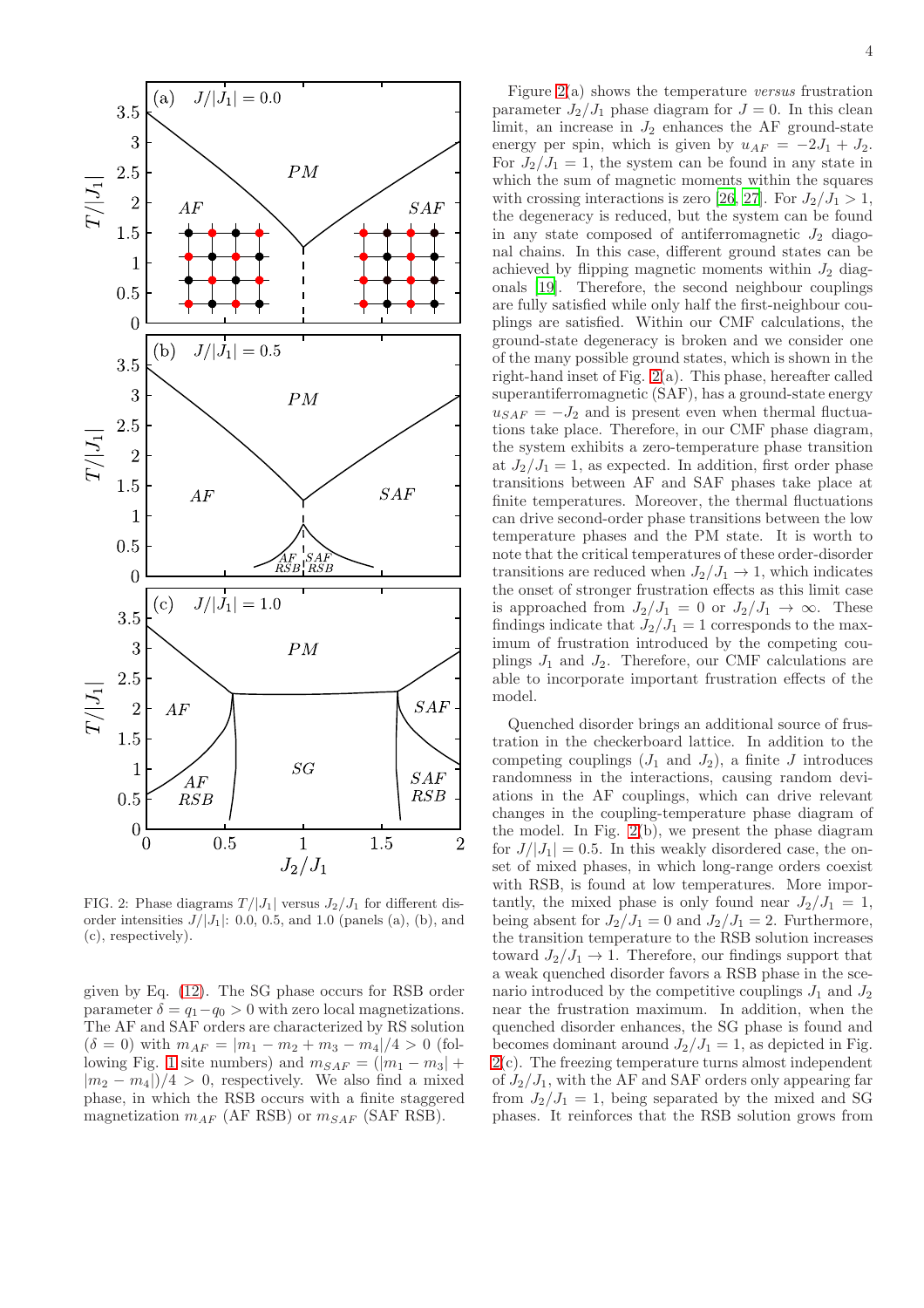

<span id="page-3-0"></span>FIG. 2: Phase diagrams  $T/|J_1|$  versus  $J_2/J_1$  for different disorder intensities  $J/|J_1|$ : 0.0, 0.5, and 1.0 (panels (a), (b), and (c), respectively).

given by Eq. [\(12\)](#page-2-3). The SG phase occurs for RSB order parameter  $\delta = q_1 - q_0 > 0$  with zero local magnetizations. The AF and SAF orders are characterized by RS solution  $(\delta = 0)$  with  $m_{AF} = |m_1 - m_2 + m_3 - m_4|/4 > 0$  (fol-lowing Fig. [1](#page-2-1) site numbers) and  $m_{SAF} = (|m_1 - m_3| +$  $|m_2 - m_4|/4 > 0$ , respectively. We also find a mixed phase, in which the RSB occurs with a finite staggered magnetization  $m_{AF}$  (AF RSB) or  $m_{SAF}$  (SAF RSB).

Figure [2\(](#page-3-0)a) shows the temperature versus frustration parameter  $J_2/J_1$  phase diagram for  $J = 0$ . In this clean limit, an increase in  $J_2$  enhances the AF ground-state energy per spin, which is given by  $u_{AF} = -2J_1 + J_2$ . For  $J_2/J_1 = 1$ , the system can be found in any state in which the sum of magnetic moments within the squares with crossing interactions is zero [\[26](#page-6-17), [27\]](#page-6-18). For  $J_2/J_1 > 1$ , the degeneracy is reduced, but the system can be found in any state composed of antiferromagnetic  $J_2$  diagonal chains. In this case, different ground states can be achieved by flipping magnetic moments within  $J_2$  diagonals [\[19\]](#page-6-9). Therefore, the second neighbour couplings are fully satisfied while only half the first-neighbour couplings are satisfied. Within our CMF calculations, the ground-state degeneracy is broken and we consider one of the many possible ground states, which is shown in the right-hand inset of Fig. [2\(](#page-3-0)a). This phase, hereafter called superantiferromagnetic (SAF), has a ground-state energy  $u_{SAF} = -J_2$  and is present even when thermal fluctuations take place. Therefore, in our CMF phase diagram, the system exhibits a zero-temperature phase transition at  $J_2/J_1 = 1$ , as expected. In addition, first order phase transitions between AF and SAF phases take place at finite temperatures. Moreover, the thermal fluctuations can drive second-order phase transitions between the low temperature phases and the PM state. It is worth to note that the critical temperatures of these order-disorder transitions are reduced when  $J_2/J_1 \rightarrow 1$ , which indicates the onset of stronger frustration effects as this limit case is approached from  $J_2/J_1 = 0$  or  $J_2/J_1 \rightarrow \infty$ . These findings indicate that  $J_2/J_1 = 1$  corresponds to the maximum of frustration introduced by the competing couplings  $J_1$  and  $J_2$ . Therefore, our CMF calculations are able to incorporate important frustration effects of the model.

Quenched disorder brings an additional source of frustration in the checkerboard lattice. In addition to the competing couplings  $(J_1 \text{ and } J_2)$ , a finite J introduces randomness in the interactions, causing random deviations in the AF couplings, which can drive relevant changes in the coupling-temperature phase diagram of the model. In Fig. [2\(](#page-3-0)b), we present the phase diagram for  $J/|J_1| = 0.5$ . In this weakly disordered case, the onset of mixed phases, in which long-range orders coexist with RSB, is found at low temperatures. More importantly, the mixed phase is only found near  $J_2/J_1 = 1$ , being absent for  $J_2/J_1 = 0$  and  $J_2/J_1 = 2$ . Furthermore, the transition temperature to the RSB solution increases toward  $J_2/J_1 \rightarrow 1$ . Therefore, our findings support that a weak quenched disorder favors a RSB phase in the scenario introduced by the competitive couplings  $J_1$  and  $J_2$ near the frustration maximum. In addition, when the quenched disorder enhances, the SG phase is found and becomes dominant around  $J_2/J_1 = 1$ , as depicted in Fig. [2\(](#page-3-0)c). The freezing temperature turns almost independent of  $J_2/J_1$ , with the AF and SAF orders only appearing far from  $J_2/J_1 = 1$ , being separated by the mixed and SG phases. It reinforces that the RSB solution grows from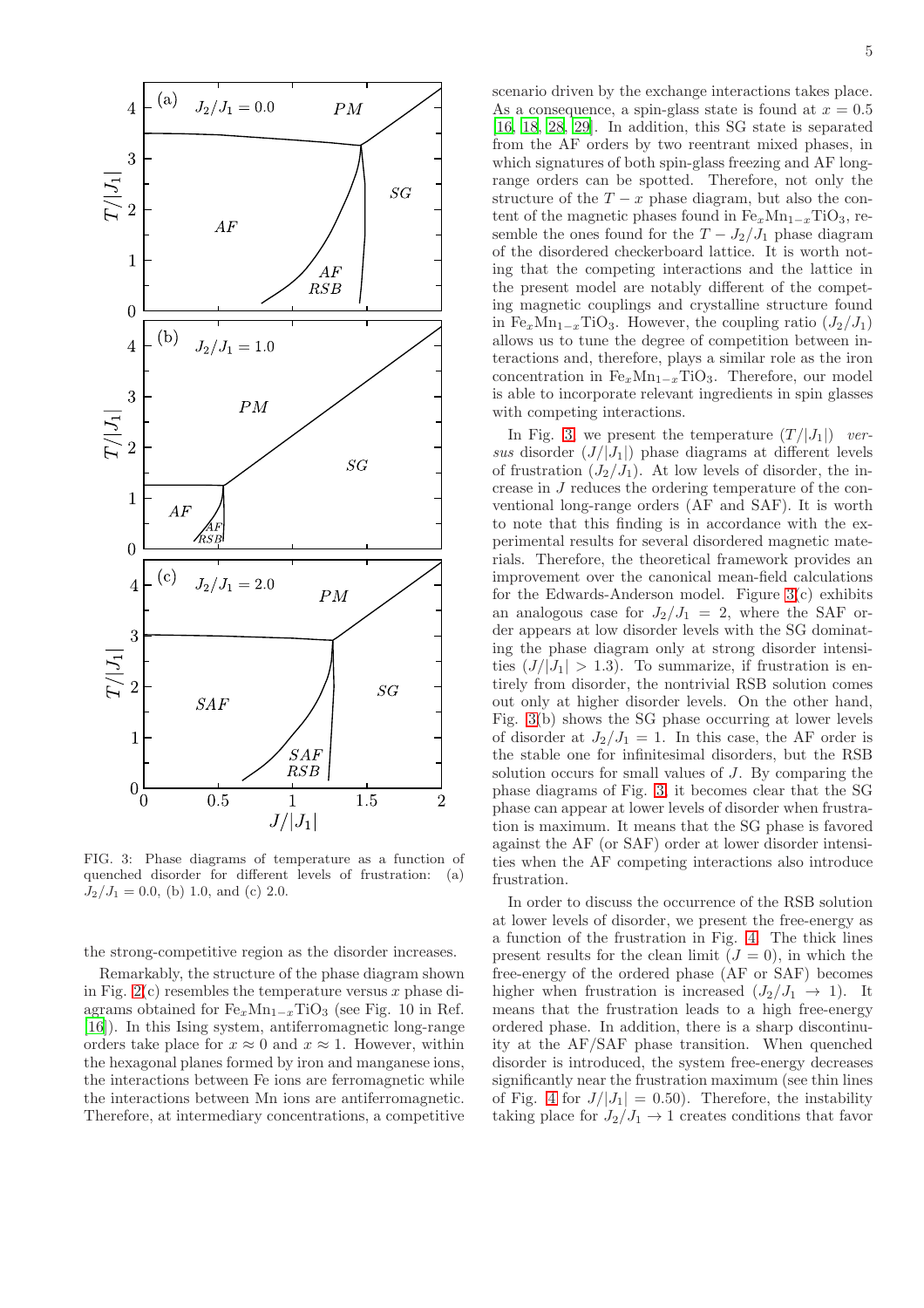

<span id="page-4-0"></span>FIG. 3: Phase diagrams of temperature as a function of quenched disorder for different levels of frustration: (a)  $J_2/J_1 = 0.0$ , (b) 1.0, and (c) 2.0.

the strong-competitive region as the disorder increases.

Remarkably, the structure of the phase diagram shown in Fig.  $2(c)$  resembles the temperature versus x phase diagrams obtained for  $Fe_xMn_{1-x}TiO_3$  (see Fig. 10 in Ref. [16]). In this Ising system, antiferromagnetic long-range orders take place for  $x \approx 0$  and  $x \approx 1$ . However, within the hexagonal planes formed by iron and manganese ions, the interactions between Fe ions are ferromagnetic while the interactions between Mn ions are antiferromagnetic. Therefore, at intermediary concentrations, a competitive scenario driven by the exchange interactions takes place. As a consequence, a spin-glass state is found at  $x = 0.5$ [16, [18,](#page-6-8) 28, [29\]](#page-6-19). In addition, this SG state is separated from the AF orders by two reentrant mixed phases, in which signatures of both spin-glass freezing and AF longrange orders can be spotted. Therefore, not only the structure of the  $T - x$  phase diagram, but also the content of the magnetic phases found in  $Fe_xMn_{1-x}TiO_3$ , resemble the ones found for the  $T - J_2/J_1$  phase diagram of the disordered checkerboard lattice. It is worth noting that the competing interactions and the lattice in the present model are notably different of the competing magnetic couplings and crystalline structure found in Fe<sub>x</sub>Mn<sub>1−x</sub>TiO<sub>3</sub>. However, the coupling ratio  $(J_2/J_1)$ allows us to tune the degree of competition between interactions and, therefore, plays a similar role as the iron concentration in  $Fe_xMn_{1-x}TiO_3$ . Therefore, our model is able to incorporate relevant ingredients in spin glasses with competing interactions.

In Fig. [3,](#page-4-0) we present the temperature  $(T/|J_1|)$  versus disorder  $(J/|J_1|)$  phase diagrams at different levels of frustration  $(J_2/J_1)$ . At low levels of disorder, the increase in J reduces the ordering temperature of the conventional long-range orders (AF and SAF). It is worth to note that this finding is in accordance with the experimental results for several disordered magnetic materials. Therefore, the theoretical framework provides an improvement over the canonical mean-field calculations for the Edwards-Anderson model. Figure [3\(](#page-4-0)c) exhibits an analogous case for  $J_2/J_1 = 2$ , where the SAF order appears at low disorder levels with the SG dominating the phase diagram only at strong disorder intensities  $(J/|J_1| > 1.3)$ . To summarize, if frustration is entirely from disorder, the nontrivial RSB solution comes out only at higher disorder levels. On the other hand, Fig. [3\(](#page-4-0)b) shows the SG phase occurring at lower levels of disorder at  $J_2/J_1 = 1$ . In this case, the AF order is the stable one for infinitesimal disorders, but the RSB solution occurs for small values of J. By comparing the phase diagrams of Fig. [3,](#page-4-0) it becomes clear that the SG phase can appear at lower levels of disorder when frustration is maximum. It means that the SG phase is favored against the AF (or SAF) order at lower disorder intensities when the AF competing interactions also introduce frustration.

In order to discuss the occurrence of the RSB solution at lower levels of disorder, we present the free-energy as a function of the frustration in Fig. [4.](#page-5-6) The thick lines present results for the clean limit  $(J = 0)$ , in which the free-energy of the ordered phase (AF or SAF) becomes higher when frustration is increased  $(J_2/J_1 \rightarrow 1)$ . It means that the frustration leads to a high free-energy ordered phase. In addition, there is a sharp discontinuity at the AF/SAF phase transition. When quenched disorder is introduced, the system free-energy decreases significantly near the frustration maximum (see thin lines of Fig. [4](#page-5-6) for  $J/|J_1| = 0.50$ . Therefore, the instability taking place for  $J_2/J_1 \rightarrow 1$  creates conditions that favor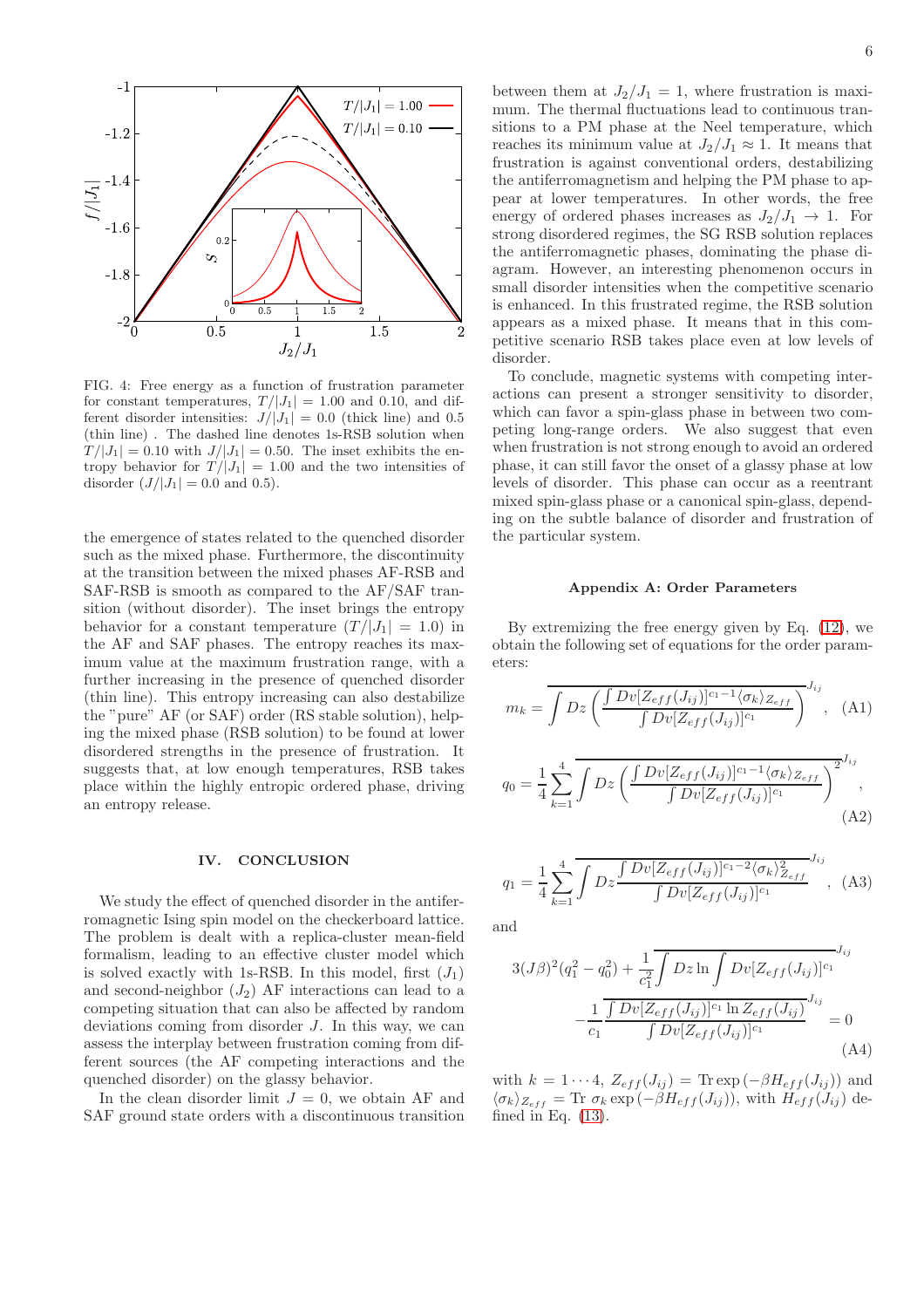

<span id="page-5-6"></span>FIG. 4: Free energy as a function of frustration parameter for constant temperatures,  $T/|J_1| = 1.00$  and 0.10, and different disorder intensities:  $J/|J_1| = 0.0$  (thick line) and 0.5 (thin line) . The dashed line denotes 1s-RSB solution when  $T/|J_1| = 0.10$  with  $J/|J_1| = 0.50$ . The inset exhibits the entropy behavior for  $T/|J_1| = 1.00$  and the two intensities of disorder  $(J/|J_1| = 0.0$  and 0.5).

the emergence of states related to the quenched disorder such as the mixed phase. Furthermore, the discontinuity at the transition between the mixed phases AF-RSB and SAF-RSB is smooth as compared to the AF/SAF transition (without disorder). The inset brings the entropy behavior for a constant temperature  $(T/|J_1| = 1.0)$  in the AF and SAF phases. The entropy reaches its maximum value at the maximum frustration range, with a further increasing in the presence of quenched disorder (thin line). This entropy increasing can also destabilize the "pure" AF (or SAF) order (RS stable solution), helping the mixed phase (RSB solution) to be found at lower disordered strengths in the presence of frustration. It suggests that, at low enough temperatures, RSB takes place within the highly entropic ordered phase, driving an entropy release.

#### <span id="page-5-0"></span>IV. CONCLUSION

We study the effect of quenched disorder in the antiferromagnetic Ising spin model on the checkerboard lattice. The problem is dealt with a replica-cluster mean-field formalism, leading to an effective cluster model which is solved exactly with 1s-RSB. In this model, first  $(J_1)$ and second-neighbor  $(J_2)$  AF interactions can lead to a competing situation that can also be affected by random deviations coming from disorder J. In this way, we can assess the interplay between frustration coming from different sources (the AF competing interactions and the quenched disorder) on the glassy behavior.

In the clean disorder limit  $J = 0$ , we obtain AF and SAF ground state orders with a discontinuous transition between them at  $J_2/J_1 = 1$ , where frustration is maximum. The thermal fluctuations lead to continuous transitions to a PM phase at the Neel temperature, which reaches its minimum value at  $J_2/J_1 \approx 1$ . It means that frustration is against conventional orders, destabilizing the antiferromagnetism and helping the PM phase to appear at lower temperatures. In other words, the free energy of ordered phases increases as  $J_2/J_1 \rightarrow 1$ . For strong disordered regimes, the SG RSB solution replaces the antiferromagnetic phases, dominating the phase diagram. However, an interesting phenomenon occurs in small disorder intensities when the competitive scenario is enhanced. In this frustrated regime, the RSB solution appears as a mixed phase. It means that in this competitive scenario RSB takes place even at low levels of disorder.

To conclude, magnetic systems with competing interactions can present a stronger sensitivity to disorder, which can favor a spin-glass phase in between two competing long-range orders. We also suggest that even when frustration is not strong enough to avoid an ordered phase, it can still favor the onset of a glassy phase at low levels of disorder. This phase can occur as a reentrant mixed spin-glass phase or a canonical spin-glass, depending on the subtle balance of disorder and frustration of the particular system.

## <span id="page-5-1"></span>Appendix A: Order Parameters

By extremizing the free energy given by Eq. [\(12\)](#page-2-3), we obtain the following set of equations for the order parameters:

<span id="page-5-2"></span>
$$
m_k = \overline{\int Dz \left( \frac{\int Dv[Z_{eff}(J_{ij})]^{c_1-1} \langle \sigma_k \rangle_{Z_{eff}}}{\int Dv[Z_{eff}(J_{ij})]^{c_1}} \right)^{J_{ij}}}, \quad \text{(A1)}
$$
\n
$$
q_0 = \frac{1}{4} \sum_{k=1}^4 \overline{\int Dz \left( \frac{\int Dv[Z_{eff}(J_{ij})]^{c_1-1} \langle \sigma_k \rangle_{Z_{eff}}}{\int Dv[Z_{eff}(J_{ij})]^{c_1}} \right)^{2J_{ij}}}, \quad \text{(A2)}
$$

<span id="page-5-4"></span><span id="page-5-3"></span>
$$
q_1 = \frac{1}{4} \sum_{k=1}^{4} \overline{\int Dz \frac{\int Dv[Z_{eff}(J_{ij})]^{c_1 - 2} \langle \sigma_k \rangle_{Z_{eff}}^2}{\int Dv[Z_{eff}(J_{ij})]^{c_1}}^{J_{ij}}, \quad (A3)
$$

and

<span id="page-5-5"></span>
$$
3(J\beta)^2(q_1^2 - q_0^2) + \frac{1}{c_1^2} \int Dz \ln \int Dv[Z_{eff}(J_{ij})]^{c_1} J_{ij}
$$

$$
- \frac{1}{c_1} \frac{\int Dv[Z_{eff}(J_{ij})]^{c_1} \ln Z_{eff}(J_{ij})}{\int Dv[Z_{eff}(J_{ij})]^{c_1}} = 0
$$
(A4)

with  $k = 1 \cdots 4$ ,  $Z_{eff}(J_{ij}) = \text{Tr} \exp(-\beta H_{eff}(J_{ij}))$  and  $\langle \sigma_k \rangle_{Z_{eff}} = \text{Tr} \; \sigma_k \exp(-\beta H_{eff}(J_{ij}))$ , with  $H_{eff}(J_{ij})$  defined in Eq.  $(13)$ .